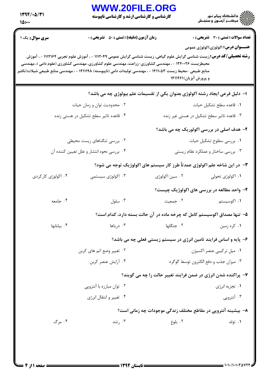## WWW.20FILE.ORG ے<br>کا اللہ دانشگاہ پیام نور<br>کا اللہ مرکبز آزمون و سنجش -<br>**کارشناسی و کارشناسی ارشد و کارشناسی ناپیوسته**

 $1797/-0/T1$ 

| 10:                                                          |                                                                                                                                                                                                                                                                                                                                                                                                     |                                                                               |                                                                                            |  |  |
|--------------------------------------------------------------|-----------------------------------------------------------------------------------------------------------------------------------------------------------------------------------------------------------------------------------------------------------------------------------------------------------------------------------------------------------------------------------------------------|-------------------------------------------------------------------------------|--------------------------------------------------------------------------------------------|--|--|
| <b>سری سوال :</b> یک ۱                                       | زمان آزمون (دقیقه) : تستی : 50 ٪ تشریحی : 0<br><b>رشته تحصیلی/کد درس:</b> زیست شناسی گرایش علوم گیاهی، زیست شناسی گرایش عمومی ۱۱۱۲۰۴۹ - ، آموزش علوم تجربی ۱۱۱۲۱۶۴ - ، آموزش<br>محیطزیست ۱۲۴۰۰۲۶ - ، مهندسی کشاورزی-زراعت، مهندسی علوم کشاورزی، مهندسی کشاورزی (علوم دامی )، مهندسی<br>منابع طبیعی -محیط زیست ۱۴۱۱۰۵۳ - ، مهندسی تولیدات دامی (ناپیوسته) ۱۴۱۱۱۹۸ - ، مهندسی منابع طبیعی شیلات(تکثیر | و پرورش آبزیان)۱۴۱۱۲۶۱                                                        | <b>تعداد سوالات : تستی : 30 ٪ تشریحی : 0</b><br><b>عنـــوان درس:</b> اکولوژي،اکولوژي عمومي |  |  |
|                                                              |                                                                                                                                                                                                                                                                                                                                                                                                     | ا– دلیل فرعی ایجاد رشته اکولوژی بعنوان یکی از تقسیمات علم بیولوژی چه می باشد؟ |                                                                                            |  |  |
| ۰۲ محدودیت توان و زمان حیات                                  |                                                                                                                                                                                                                                                                                                                                                                                                     | ٠١. قاعده سطح تشكيل حيات                                                      |                                                                                            |  |  |
| ۰۴ قاعده تاثیر سطح تشکیل در هستی زنده                        |                                                                                                                                                                                                                                                                                                                                                                                                     | ۰۳ قاعده تاثیر سطح تشکیل در هستی غیر زنده                                     |                                                                                            |  |  |
|                                                              |                                                                                                                                                                                                                                                                                                                                                                                                     |                                                                               | ۲- هدف اصلی در بررسی اکولوریک چه می باشد؟                                                  |  |  |
| ۰۲ بررسی تنگناهای زیست محیطی                                 |                                                                                                                                                                                                                                                                                                                                                                                                     | ٠١ بررسي سطوح تشكيل حيات                                                      |                                                                                            |  |  |
| ۰۴ بررسی نحوه انتشار و علل تعیین کننده آن                    |                                                                                                                                                                                                                                                                                                                                                                                                     | ۰۳ بررسی ساختار و عملکرد نظام زیستی                                           |                                                                                            |  |  |
|                                                              |                                                                                                                                                                                                                                                                                                                                                                                                     | ۳- در این شاخه علم اکولوژی عمدتاً طرز کار سیستم های اکولوژیک توجه می شود؟     |                                                                                            |  |  |
| ۰۴ اکولوژی کارکردی                                           | ۰۳ اکولوژی سیستمی                                                                                                                                                                                                                                                                                                                                                                                   | ۰۲ سین اکولوژی                                                                | ۰۱ اکولوژی تحولی                                                                           |  |  |
|                                                              |                                                                                                                                                                                                                                                                                                                                                                                                     |                                                                               | ۴- واحد مطالعه در بررسی های اکولوژیک چیست؟                                                 |  |  |
| ۰۴ جامعه                                                     | $\cdot^{\mathfrak{r}}$ سلول $\cdot$                                                                                                                                                                                                                                                                                                                                                                 | ٢. جمعيت                                                                      | ۰۱ اکوسیستم                                                                                |  |  |
|                                                              | ۵– تنها مصداق اکوسیستم کامل که چرخه ماده در آن حالت بسته دارد، کدام است؟                                                                                                                                                                                                                                                                                                                            |                                                                               |                                                                                            |  |  |
| ۰۴ بيابانها                                                  | ۰۳ دریاها                                                                                                                                                                                                                                                                                                                                                                                           | ٠٢ جنگلها                                                                     | ۰۱ کره زمین                                                                                |  |  |
|                                                              | ۶- پایه و اساس فرایند تامین انرژی در سیستم زیستی فعلی چه می باشد؟                                                                                                                                                                                                                                                                                                                                   |                                                                               |                                                                                            |  |  |
| ۰۲ تغییر وضع اتم های کربن                                    |                                                                                                                                                                                                                                                                                                                                                                                                     | ٠١ ميل تركيبي عنصر اكسيژن                                                     |                                                                                            |  |  |
| ۰۴ آرایش عنصر کربن<br>۰۳ میزان جذب و دفع الکترون توسط گوگرد  |                                                                                                                                                                                                                                                                                                                                                                                                     |                                                                               |                                                                                            |  |  |
|                                                              |                                                                                                                                                                                                                                                                                                                                                                                                     | ۷- پراکنده شدن انرژی در ضمن فرایند تغییر حالت را چه می گویند؟                 |                                                                                            |  |  |
|                                                              | ۰۲ توان مبارزه با آنتروپی                                                                                                                                                                                                                                                                                                                                                                           |                                                                               | ۰۱ تجزیه انرژی                                                                             |  |  |
|                                                              | ۰۴ تغییر و انتقال انرژی                                                                                                                                                                                                                                                                                                                                                                             |                                                                               | ۰۳ آنتروپی                                                                                 |  |  |
| ۸– بیشینه آنتروپی در مقاطع مختلف زندگی موجودات چه زمانی است؟ |                                                                                                                                                                                                                                                                                                                                                                                                     |                                                                               |                                                                                            |  |  |
| ۰۴ مرگ                                                       | ۰۳ رشد                                                                                                                                                                                                                                                                                                                                                                                              | ۰۲ بلوغ                                                                       | ۰۱ تولد                                                                                    |  |  |
|                                                              |                                                                                                                                                                                                                                                                                                                                                                                                     |                                                                               |                                                                                            |  |  |
|                                                              |                                                                                                                                                                                                                                                                                                                                                                                                     |                                                                               |                                                                                            |  |  |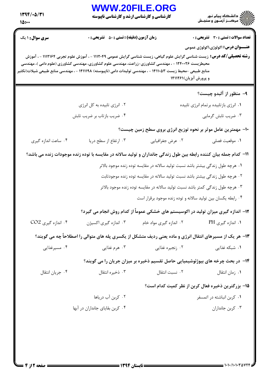| $1799/-0/T1$<br>10: | <b>WWW.20FILE.ORG</b><br><b>کارشناسی و کارشناسی ارشد و کارشناسی ناپیوسته</b>                                                                                                                                                                                                                                                                        |                         |                                                                                    |
|---------------------|-----------------------------------------------------------------------------------------------------------------------------------------------------------------------------------------------------------------------------------------------------------------------------------------------------------------------------------------------------|-------------------------|------------------------------------------------------------------------------------|
| سری سوال : ۱ یک     | <b>زمان آزمون (دقیقه) : تستی : 50 ٪ تشریحی : 0</b>                                                                                                                                                                                                                                                                                                  |                         | <b>تعداد سوالات : تستی : 30 ٪ تشریحی : 0</b>                                       |
|                     | <b>رشته تحصیلی/کد درس:</b> زیست شناسی گرایش علوم گیاهی، زیست شناسی گرایش عمومی ۱۱۱۲۰۴۹ - ، آموزش علوم تجربی ۱۱۱۲۱۶۴ - ، آموزش<br>محیطزیست ۱۲۴۰۰۲۶ - ، مهندسی کشاورزی-زراعت، مهندسی علوم کشاورزی، مهندسی کشاورزی (علوم دامی )، مهندسی<br>منابع طبیعی -محیط زیست ۱۴۱۱۰۵۳ - ، مهندسی تولیدات دامی (ناپیوسته) ۱۴۱۱۱۹۸ - ، مهندسی منابع طبیعی شیلات(تکثی |                         | <b>عنـــوان درس:</b> اکولوژی،اکولوژی عمومی<br>و پرورش آبزیان)۱۴۱۱۲۶۱               |
|                     |                                                                                                                                                                                                                                                                                                                                                     |                         | ۹- منظور از آلبدو چیست؟                                                            |
|                     | ۰۲ انرژی تابیده به کل انرژی                                                                                                                                                                                                                                                                                                                         |                         | ٠١ انرژى بازتابيده برتمام انرژى تابيده                                             |
|                     | ۰۴ ضریب بازتاب بر ضریب تابش                                                                                                                                                                                                                                                                                                                         |                         | ۰۳ ضریب تابش گرمایی                                                                |
|                     |                                                                                                                                                                                                                                                                                                                                                     |                         | ۱۰- مهمترین عامل موثر بر نحوه توزیع انرژی بروی سطح زمین چیست؟                      |
| ۰۴ ساعت اندازه گیری | ۰۳ ارتفاع از سطح دريا                                                                                                                                                                                                                                                                                                                               | ۰۲ عرض جغرافیایی        | ٠١. موقعيت فصلي                                                                    |
|                     | 1۱– کدام جمله بیان کننده رابطه بین طول زندگی جانداران و تولید سالانه در مقایسه با توده زنده موجودات زنده می باشد؟                                                                                                                                                                                                                                   |                         |                                                                                    |
|                     |                                                                                                                                                                                                                                                                                                                                                     |                         | ۰۱ هرچه طول زندگی بیشتر باشد نسبت تولید سالانه در مقایسه توده زنده موجود بالاتر    |
|                     |                                                                                                                                                                                                                                                                                                                                                     |                         | ۲ . هرچه طول زندگی بیشتر باشد نسبت تولید سالانه در مقایسه توده زنده موجودثابت      |
|                     |                                                                                                                                                                                                                                                                                                                                                     |                         | ۰۳ هرچه طول زندگی کمتر باشد نسبت تولید سالانه در مقایسه توده زنده موجود بالاتر     |
|                     |                                                                                                                                                                                                                                                                                                                                                     |                         | ۰۴ رابطه یکسان بین تولید سالانه و توده زنده موجود برقرار است                       |
|                     |                                                                                                                                                                                                                                                                                                                                                     |                         | ۱۲- اندازه گیری میزان تولید در اکوسیستم های خشکی عموماً از کدام روش انجام می گیرد؟ |
| ۰۴ اندازه گیری CO2  | ۰۳ اندازه گیری اکسیژن                                                                                                                                                                                                                                                                                                                               | ۰۲ اندازه گیری مواد خام | ۰۱ اندازه گیری PH                                                                  |
|                     | ۱۳- هر یک از مسیرهای انتقال انرژی و ماده یعنی ردیف متشکل از یکسری پله های متوالی را اصطلاحاً چه می گویند؟                                                                                                                                                                                                                                           |                         |                                                                                    |
| ۰۴ مسیرغذایی        | ۰۳ هرم غذایی                                                                                                                                                                                                                                                                                                                                        | ۰۲ زنجیره غذایی         | ۰۱ شبکه غذایی                                                                      |
|                     |                                                                                                                                                                                                                                                                                                                                                     |                         | ۱۴– در بحث چرخه های بیوژئوشیمیایی حاصل تقسیم ذخیره بر میزان جریان را می گویند؟     |
| ۰۴ جريان انتقال     | ۰۳ ذخیره انتقال                                                                                                                                                                                                                                                                                                                                     | ۰۲ نسبت انتقال          | ۰۱ زمان انتقال                                                                     |
|                     |                                                                                                                                                                                                                                                                                                                                                     |                         | ۱۵– بزرگترین ذخیره فعال کربن از نظر کمیت کدام است؟                                 |
|                     | ۰۲ کربن آب دریاها                                                                                                                                                                                                                                                                                                                                   |                         | ۰۱ کربن انباشته در اتمسفر                                                          |
|                     | ۰۴ کربن بقایای جانداران در آبها                                                                                                                                                                                                                                                                                                                     |                         | ۰۳ کربن جانداران                                                                   |
|                     |                                                                                                                                                                                                                                                                                                                                                     |                         |                                                                                    |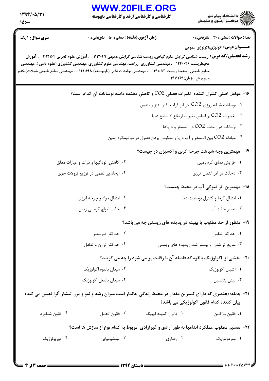## WWW.20FILE.ORG

**کارشناسی و کارشناسی ارشد و کارشناسی ناپیوسته** 

 $1797/-0/T1$  $10:$